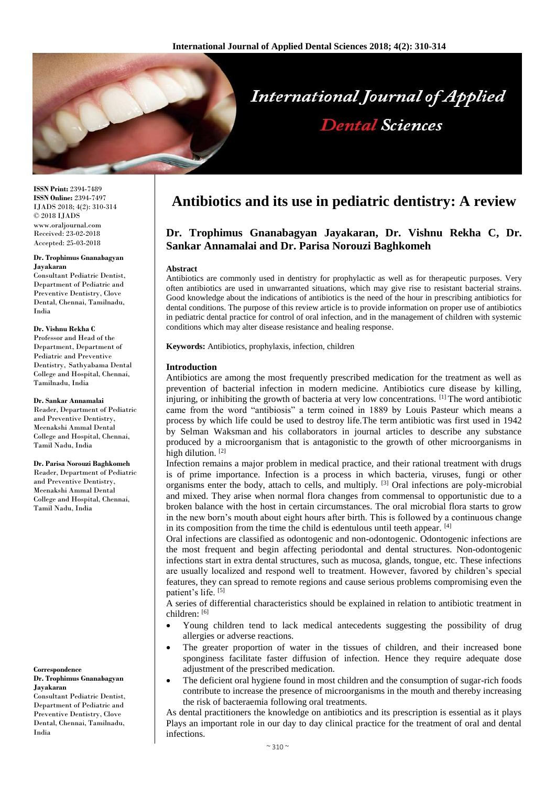

**ISSN Print:** 2394-7489 **ISSN Online:** 2394-7497 IJADS 2018; 4(2): 310-314 © 2018 IJADS www.oraljournal.com Received: 23-02-2018 Accepted: 25-03-2018

#### **Dr. Trophimus Gnanabagyan Jayakaran**

Consultant Pediatric Dentist, Department of Pediatric and Preventive Dentistry, Clove Dental, Chennai, Tamilnadu, India

#### **Dr. Vishnu Rekha C**

Professor and Head of the Department, Department of Pediatric and Preventive Dentistry, Sathyabama Dental College and Hospital, Chennai, Tamilnadu, India

#### **Dr. Sankar Annamalai**

Reader, Department of Pediatric and Preventive Dentistry, Meenakshi Ammal Dental College and Hospital, Chennai, Tamil Nadu, India

#### **Dr. Parisa Norouzi Baghkomeh**

Reader, Department of Pediatric and Preventive Dentistry, Meenakshi Ammal Dental College and Hospital, Chennai, Tamil Nadu, India

#### **Correspondence Dr. Trophimus Gnanabagyan Jayakaran**

Consultant Pediatric Dentist, Department of Pediatric and Preventive Dentistry, Clove Dental, Chennai, Tamilnadu, India

# **Antibiotics and its use in pediatric dentistry: A review**

## **Dr. Trophimus Gnanabagyan Jayakaran, Dr. Vishnu Rekha C, Dr. Sankar Annamalai and Dr. Parisa Norouzi Baghkomeh**

#### **Abstract**

Antibiotics are commonly used in dentistry for prophylactic as well as for therapeutic purposes. Very often antibiotics are used in unwarranted situations, which may give rise to resistant bacterial strains. Good knowledge about the indications of antibiotics is the need of the hour in prescribing antibiotics for dental conditions. The purpose of this review article is to provide information on proper use of antibiotics in pediatric dental practice for control of oral infection, and in the management of children with systemic conditions which may alter disease resistance and healing response.

**Keywords:** Antibiotics, prophylaxis, infection, children

#### **Introduction**

Antibiotics are among the most frequently prescribed medication for the treatment as well as prevention of bacterial infection in modern medicine. Antibiotics cure disease by killing, injuring, or inhibiting the growth of bacteria at very low concentrations. [1] The word antibiotic came from the word "antibiosis" a term coined in 1889 by Louis Pasteur which means a process by which life could be used to destroy life.The term antibiotic was first used in 1942 by Selman Waksman and his collaborators in journal articles to describe any substance produced by a microorganism that is antagonistic to the growth of other microorganisms in high dilution.<sup>[2]</sup>

Infection remains a major problem in medical practice, and their rational treatment with drugs is of prime importance. Infection is a process in which bacteria, viruses, fungi or other organisms enter the body, attach to cells, and multiply. [3] Oral infections are poly-microbial and mixed. They arise when normal flora changes from commensal to opportunistic due to a broken balance with the host in certain circumstances. The oral microbial flora starts to grow in the new born's mouth about eight hours after birth. This is followed by a continuous change in its composition from the time the child is edentulous until teeth appear. [4]

Oral infections are classified as odontogenic and non-odontogenic. Odontogenic infections are the most frequent and begin affecting periodontal and dental structures. Non-odontogenic infections start in extra dental structures, such as mucosa, glands, tongue, etc. These infections are usually localized and respond well to treatment. However, favored by children's special features, they can spread to remote regions and cause serious problems compromising even the patient's life.<sup>[5]</sup>

A series of differential characteristics should be explained in relation to antibiotic treatment in children: [6]

- Young children tend to lack medical antecedents suggesting the possibility of drug allergies or adverse reactions.
- The greater proportion of water in the tissues of children, and their increased bone sponginess facilitate faster diffusion of infection. Hence they require adequate dose adjustment of the prescribed medication.
- The deficient oral hygiene found in most children and the consumption of sugar-rich foods contribute to increase the presence of microorganisms in the mouth and thereby increasing the risk of bacteraemia following oral treatments.

As dental practitioners the knowledge on antibiotics and its prescription is essential as it plays Plays an important role in our day to day clinical practice for the treatment of oral and dental infections.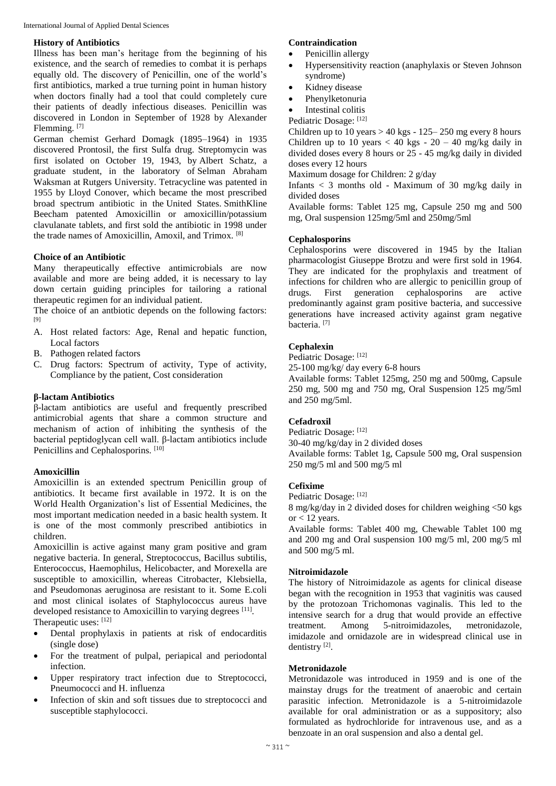International Journal of Applied Dental Sciences

#### **History of Antibiotics**

Illness has been man's heritage from the beginning of his existence, and the search of remedies to combat it is perhaps equally old. The discovery of Penicillin, one of the world's first antibiotics, marked a true turning point in human history when doctors finally had a tool that could completely cure their patients of deadly infectious diseases. Penicillin was discovered in London in September of 1928 by Alexander Flemming. [7]

German chemist Gerhard Domagk (1895–1964) in 1935 discovered Prontosil, the first Sulfa drug. Streptomycin was first isolated on October 19, 1943, by Albert Schatz, a graduate student, in the laboratory of Selman Abraham Waksman at Rutgers University. Tetracycline was patented in 1955 by Lloyd Conover, which became the most prescribed broad spectrum antibiotic in the United States. SmithKline Beecham patented Amoxicillin or amoxicillin/potassium clavulanate tablets, and first sold the antibiotic in 1998 under the trade names of Amoxicillin, Amoxil, and Trimox. [8]

#### **Choice of an Antibiotic**

Many therapeutically effective antimicrobials are now available and more are being added, it is necessary to lay down certain guiding principles for tailoring a rational therapeutic regimen for an individual patient.

The choice of an antbiotic depends on the following factors: [9]

- A. Host related factors: Age, Renal and hepatic function, Local factors
- B. Pathogen related factors
- C. Drug factors: Spectrum of activity, Type of activity, Compliance by the patient, Cost consideration

#### **β-lactam Antibiotics**

β-lactam antibiotics are useful and frequently prescribed antimicrobial agents that share a common structure and mechanism of action of inhibiting the synthesis of the bacterial peptidoglycan cell wall. β-lactam antibiotics include Penicillins and Cephalosporins. [10]

#### **Amoxicillin**

Amoxicillin is an extended spectrum Penicillin group of antibiotics. It became first available in 1972. It is on the World Health Organization's list of Essential Medicines, the most important medication needed in a basic health system. It is one of the most commonly prescribed antibiotics in children.

Amoxicillin is active against many gram positive and gram negative bacteria. In general, Streptococcus, Bacillus subtilis, Enterococcus, Haemophilus, Helicobacter, and Morexella are susceptible to amoxicillin, whereas Citrobacter, Klebsiella, and Pseudomonas aeruginosa are resistant to it. Some E.coli and most clinical isolates of Staphylococcus aureus have developed resistance to Amoxicillin to varying degrees [11]. Therapeutic uses: [12]

- Dental prophylaxis in patients at risk of endocarditis (single dose)
- For the treatment of pulpal, periapical and periodontal infection.
- Upper respiratory tract infection due to Streptococci, Pneumococci and H. influenza
- Infection of skin and soft tissues due to streptococci and susceptible staphylococci.

#### **Contraindication**

- Penicillin allergy
- Hypersensitivity reaction (anaphylaxis or Steven Johnson syndrome)
- Kidney disease
- Phenylketonuria
- Intestinal colitis

Pediatric Dosage: [12]

Children up to 10 years  $> 40$  kgs - 125–250 mg every 8 hours Children up to 10 years  $<$  40 kgs - 20 – 40 mg/kg daily in divided doses every 8 hours or 25 - 45 mg/kg daily in divided doses every 12 hours

Maximum dosage for Children: 2 g/day

Infants  $<$  3 months old - Maximum of 30 mg/kg daily in divided doses

Available forms: Tablet 125 mg, Capsule 250 mg and 500 mg, Oral suspension 125mg/5ml and 250mg/5ml

#### **Cephalosporins**

Cephalosporins were discovered in 1945 by the Italian pharmacologist Giuseppe Brotzu and were first sold in 1964. They are indicated for the prophylaxis and treatment of infections for children who are allergic to penicillin group of drugs. First generation cephalosporins are active predominantly against gram positive bacteria, and successive generations have increased activity against gram negative bacteria. [7]

## **Cephalexin**

Pediatric Dosage: [12]

25-100 mg/kg/ day every 6-8 hours

Available forms: Tablet 125mg, 250 mg and 500mg, Capsule 250 mg, 500 mg and 750 mg, Oral Suspension 125 mg/5ml and 250 mg/5ml.

#### **Cefadroxil**

Pediatric Dosage: [12]

30-40 mg/kg/day in 2 divided doses Available forms: Tablet 1g, Capsule 500 mg, Oral suspension 250 mg/5 ml and 500 mg/5 ml

#### **Cefixime**

Pediatric Dosage: [12]

8 mg/kg/day in 2 divided doses for children weighing <50 kgs or  $< 12$  years.

Available forms: Tablet 400 mg, Chewable Tablet 100 mg and 200 mg and Oral suspension 100 mg/5 ml, 200 mg/5 ml and 500 mg/5 ml.

#### **Nitroimidazole**

The history of Nitroimidazole as agents for clinical disease began with the recognition in 1953 that vaginitis was caused by the protozoan Trichomonas vaginalis*.* This led to the intensive search for a drug that would provide an effective treatment. Among 5-nitroimidazoles, metronidazole, imidazole and ornidazole are in widespread clinical use in dentistry<sup>[2]</sup>.

#### **Metronidazole**

Metronidazole was introduced in 1959 and is one of the mainstay drugs for the treatment of anaerobic and certain parasitic infection. Metronidazole is a 5-nitroimidazole available for oral administration or as a suppository; also formulated as hydrochloride for intravenous use, and as a benzoate in an oral suspension and also a dental gel.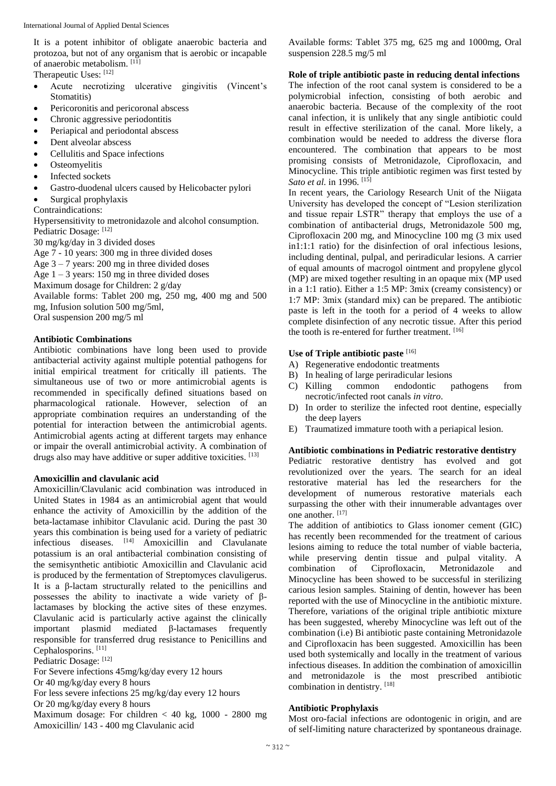It is a potent inhibitor of obligate anaerobic bacteria and protozoa, but not of any organism that is aerobic or incapable of anaerobic metabolism. [11]

Therapeutic Uses: [12]

- Acute necrotizing ulcerative gingivitis (Vincent's Stomatitis)
- Pericoronitis and pericoronal abscess
- Chronic aggressive periodontitis
- Periapical and periodontal abscess
- Dent alveolar abscess
- Cellulitis and Space infections
- **Osteomyelitis**
- Infected sockets
- Gastro-duodenal ulcers caused by Helicobacter pylori
- Surgical prophylaxis

Contraindications:

Hypersensitivity to metronidazole and alcohol consumption. Pediatric Dosage: [12]

30 mg/kg/day in 3 divided doses

Age 7 - 10 years: 300 mg in three divided doses

Age  $3 - 7$  years: 200 mg in three divided doses

Age  $1 - 3$  years: 150 mg in three divided doses

Maximum dosage for Children: 2 g/day

Available forms: Tablet 200 mg, 250 mg, 400 mg and 500 mg, Infusion solution 500 mg/5ml,

Oral suspension 200 mg/5 ml

## **Antibiotic Combinations**

Antibiotic combinations have long been used to provide antibacterial activity against multiple potential pathogens for initial empirical treatment for critically ill patients. The simultaneous use of two or more antimicrobial agents is recommended in specifically defined situations based on pharmacological rationale. However, selection of an appropriate combination requires an understanding of the potential for interaction between the antimicrobial agents. Antimicrobial agents acting at different targets may enhance or impair the overall antimicrobial activity. A combination of drugs also may have additive or super additive toxicities. [13]

#### **Amoxicillin and clavulanic acid**

Amoxicillin/Clavulanic acid combination was introduced in United States in 1984 as an antimicrobial agent that would enhance the activity of Amoxicillin by the addition of the beta-lactamase inhibitor Clavulanic acid. During the past 30 years this combination is being used for a variety of pediatric infectious diseases. [14] Amoxicillin and Clavulanate potassium is an oral antibacterial combination consisting of the semisynthetic antibiotic Amoxicillin and Clavulanic acid is produced by the fermentation of Streptomyces clavuligerus. It is a β-lactam structurally related to the penicillins and possesses the ability to inactivate a wide variety of βlactamases by blocking the active sites of these enzymes. Clavulanic acid is particularly active against the clinically important plasmid mediated β-lactamases frequently responsible for transferred drug resistance to Penicillins and Cephalosporins.<sup>[11]</sup>

Pediatric Dosage: [12]

For Severe infections 45mg/kg/day every 12 hours

Or 40 mg/kg/day every 8 hours

For less severe infections 25 mg/kg/day every 12 hours

Or 20 mg/kg/day every 8 hours

Maximum dosage: For children  $< 40$  kg, 1000 - 2800 mg Amoxicillin/ 143 - 400 mg Clavulanic acid

Available forms: Tablet 375 mg, 625 mg and 1000mg, Oral suspension 228.5 mg/5 ml

**Role of triple antibiotic paste in reducing dental infections**

The infection of the root canal system is considered to be a polymicrobial infection, consisting of both aerobic and anaerobic bacteria. Because of the complexity of the root canal infection, it is unlikely that any single antibiotic could result in effective sterilization of the canal. More likely, a combination would be needed to address the diverse flora encountered. The combination that appears to be most promising consists of Metronidazole, Ciprofloxacin, and Minocycline. This triple antibiotic regimen was first tested by *Sato et al.* in 1996. <sup>[15]</sup>

In recent years, the Cariology Research Unit of the Niigata University has developed the concept of "Lesion sterilization and tissue repair LSTR" therapy that employs the use of a combination of antibacterial drugs, Metronidazole 500 mg, Ciprofloxacin 200 mg, and Minocycline 100 mg (3 mix used in1:1:1 ratio) for the disinfection of oral infectious lesions, including dentinal, pulpal, and periradicular lesions. A carrier of equal amounts of macrogol ointment and propylene glycol (MP) are mixed together resulting in an opaque mix (MP used in a 1:1 ratio). Either a 1:5 MP: 3mix (creamy consistency) or 1:7 MP: 3mix (standard mix) can be prepared. The antibiotic paste is left in the tooth for a period of 4 weeks to allow complete disinfection of any necrotic tissue. After this period the tooth is re-entered for further treatment. [16]

## **Use of Triple antibiotic paste** [16]

- A) Regenerative endodontic treatments
- B) In healing of large periradicular lesions
- C) Killing common endodontic pathogens from necrotic/infected root canals *in vitro*.
- D) In order to sterilize the infected root dentine, especially the deep layers
- E) Traumatized immature tooth with a periapical lesion.

## **Antibiotic combinations in Pediatric restorative dentistry**

Pediatric restorative dentistry has evolved and got revolutionized over the years. The search for an ideal restorative material has led the researchers for the development of numerous restorative materials each surpassing the other with their innumerable advantages over one another. [17]

The addition of antibiotics to Glass ionomer cement (GIC) has recently been recommended for the treatment of carious lesions aiming to reduce the total number of viable bacteria, while preserving dentin tissue and pulpal vitality. A combination of Ciprofloxacin, Metronidazole and Minocycline has been showed to be successful in sterilizing carious lesion samples. Staining of dentin, however has been reported with the use of Minocycline in the antibiotic mixture. Therefore, variations of the original triple antibiotic mixture has been suggested, whereby Minocycline was left out of the combination (i.e) Bi antibiotic paste containing Metronidazole and Ciprofloxacin has been suggested. Amoxicillin has been used both systemically and locally in the treatment of various infectious diseases. In addition the combination of amoxicillin and metronidazole is the most prescribed antibiotic combination in dentistry. [18]

#### **Antibiotic Prophylaxis**

Most oro-facial infections are odontogenic in origin, and are of self-limiting nature characterized by spontaneous drainage.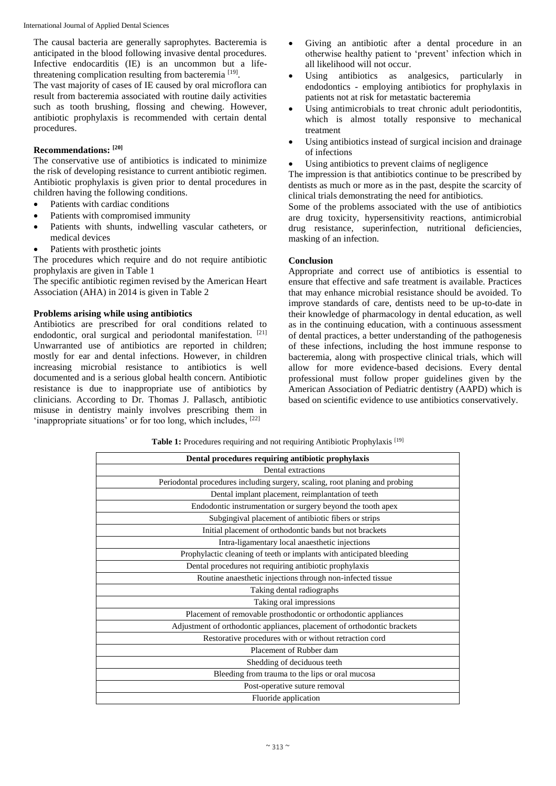The causal bacteria are generally saprophytes. Bacteremia is anticipated in the blood following invasive dental procedures. Infective endocarditis (IE) is an uncommon but a lifethreatening complication resulting from bacteremia<sup>[19]</sup>.

The vast majority of cases of IE caused by oral microflora can result from bacteremia associated with routine daily activities such as tooth brushing, flossing and chewing. However, antibiotic prophylaxis is recommended with certain dental procedures.

## **Recommendations: [20]**

The conservative use of antibiotics is indicated to minimize the risk of developing resistance to current antibiotic regimen. Antibiotic prophylaxis is given prior to dental procedures in children having the following conditions.

- Patients with cardiac conditions
- Patients with compromised immunity
- Patients with shunts, indwelling vascular catheters, or medical devices
- Patients with prosthetic joints

The procedures which require and do not require antibiotic prophylaxis are given in Table 1

The specific antibiotic regimen revised by the American Heart Association (AHA) in 2014 is given in Table 2

## **Problems arising while using antibiotics**

Antibiotics are prescribed for oral conditions related to endodontic, oral surgical and periodontal manifestation. [21] Unwarranted use of antibiotics are reported in children; mostly for ear and dental infections. However, in children increasing microbial resistance to antibiotics is well documented and is a serious global health concern. Antibiotic resistance is due to inappropriate use of antibiotics by clinicians. According to Dr. Thomas J. Pallasch, antibiotic misuse in dentistry mainly involves prescribing them in 'inappropriate situations' or for too long, which includes, [22]

- Giving an antibiotic after a dental procedure in an otherwise healthy patient to 'prevent' infection which in all likelihood will not occur.
- Using antibiotics as analgesics, particularly in endodontics - employing antibiotics for prophylaxis in patients not at risk for metastatic bacteremia
- Using antimicrobials to treat chronic adult periodontitis, which is almost totally responsive to mechanical treatment
- Using antibiotics instead of surgical incision and drainage of infections
- Using antibiotics to prevent claims of negligence

The impression is that antibiotics continue to be prescribed by dentists as much or more as in the past, despite the scarcity of clinical trials demonstrating the need for antibiotics.

Some of the problems associated with the use of antibiotics are drug toxicity, hypersensitivity reactions, antimicrobial drug resistance, superinfection, nutritional deficiencies, masking of an infection.

## **Conclusion**

Appropriate and correct use of antibiotics is essential to ensure that effective and safe treatment is available. Practices that may enhance microbial resistance should be avoided. To improve standards of care, dentists need to be up-to-date in their knowledge of pharmacology in dental education, as well as in the continuing education, with a continuous assessment of dental practices, a better understanding of the pathogenesis of these infections, including the host immune response to bacteremia, along with prospective clinical trials, which will allow for more evidence-based decisions. Every dental professional must follow proper guidelines given by the American Association of Pediatric dentistry (AAPD) which is based on scientific evidence to use antibiotics conservatively.

Table 1: Procedures requiring and not requiring Antibiotic Prophylaxis<sup>[19]</sup>

| Dental procedures requiring antibiotic prophylaxis                          |  |  |  |
|-----------------------------------------------------------------------------|--|--|--|
| Dental extractions                                                          |  |  |  |
| Periodontal procedures including surgery, scaling, root planing and probing |  |  |  |
| Dental implant placement, reimplantation of teeth                           |  |  |  |
| Endodontic instrumentation or surgery beyond the tooth apex                 |  |  |  |
| Subgingival placement of antibiotic fibers or strips                        |  |  |  |
| Initial placement of orthodontic bands but not brackets                     |  |  |  |
| Intra-ligamentary local anaesthetic injections                              |  |  |  |
| Prophylactic cleaning of teeth or implants with anticipated bleeding        |  |  |  |
| Dental procedures not requiring antibiotic prophylaxis                      |  |  |  |
| Routine anaesthetic injections through non-infected tissue                  |  |  |  |
| Taking dental radiographs                                                   |  |  |  |
| Taking oral impressions                                                     |  |  |  |
| Placement of removable prosthodontic or orthodontic appliances              |  |  |  |
| Adjustment of orthodontic appliances, placement of orthodontic brackets     |  |  |  |
| Restorative procedures with or without retraction cord                      |  |  |  |
| Placement of Rubber dam                                                     |  |  |  |
| Shedding of deciduous teeth                                                 |  |  |  |
| Bleeding from trauma to the lips or oral mucosa                             |  |  |  |
| Post-operative suture removal                                               |  |  |  |
| Fluoride application                                                        |  |  |  |